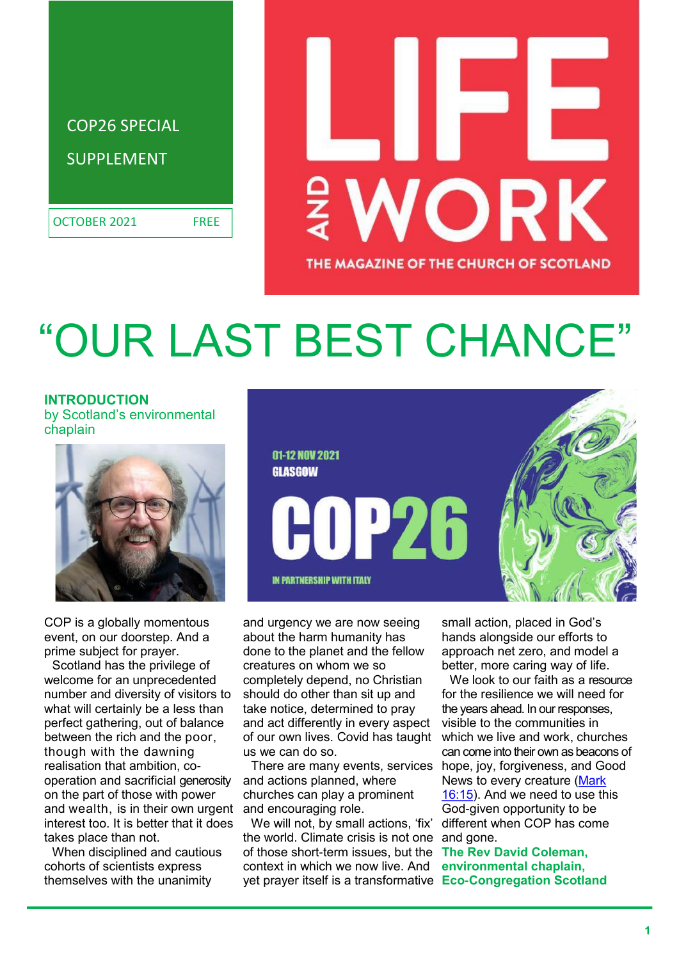

# ORK THE MAGAZINE OF THE CHURCH OF SCOTLAND

## OUR LAST BEST CHANCE'

**INTRODUCTION** by Scotland's environmental chaplain



COP is a globally momentous event, on our doorstep. And a prime subject for prayer.

Scotland has the privilege of welcome for an unprecedented number and diversity of visitors to what will certainly be a less than perfect gathering, out of balance between the rich and the poor, though with the dawning realisation that ambition, cooperation and sacrificial generosity on the part of those with power and wealth, is in their own urgent interest too. It is better that it does takes place than not.

When disciplined and cautious cohorts of scientists express themselves with the unanimity



and urgency we are now seeing about the harm humanity has done to the planet and the fellow creatures on whom we so completely depend, no Christian should do other than sit up and take notice, determined to pray and act differently in every aspect of our own lives. Covid has taught us we can do so.

There are many events, services and actions planned, where churches can play a prominent and encouraging role.

We will not, by small actions, 'fix' the world. Climate crisis is not one of those short-term issues, but the **The Rev David Coleman,**  context in which we now live. And yet prayer itself is a transformative **Eco-Congregation Scotland**

small action, placed in God's hands alongside our efforts to approach net zero, and model a better, more caring way of life.

We look to our faith as a resource for the resilience we will need for the years ahead. In our responses, visible to the communities in which we live and work, churches can come into their own as beacons of hope, joy, forgiveness, and Good News to every creature [\(Mark](https://www.biblegateway.com/passage/?search=Mark%2016%3A15&version=NIV)  [16:15\).](https://www.biblegateway.com/passage/?search=Mark%2016%3A15&version=NIV) And we need to use this God-given opportunity to be different when COP has come and gone.

**environmental chaplain,**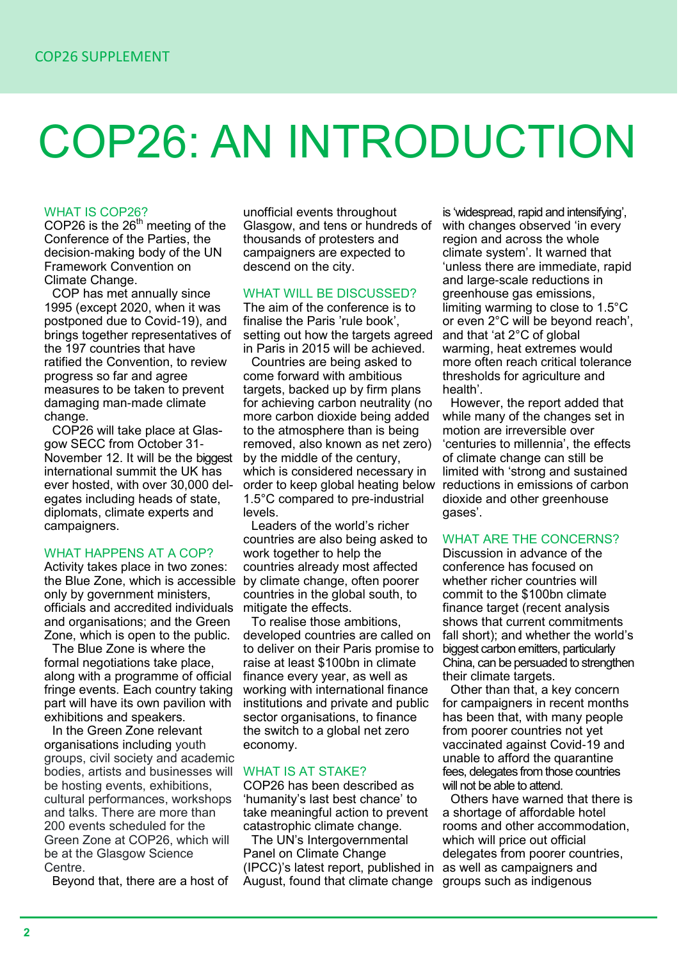## COP26: AN INTRODUCTION

#### WHAT IS COP26?

COP26 is the  $26<sup>th</sup>$  meeting of the Conference of the Parties, the decision-making body of the UN Framework Convention on Climate Change.

COP has met annually since 1995 (except 2020, when it was postponed due to Covid-19), and brings together representatives of the 197 countries that have ratified the Convention, to review progress so far and agree measures to be taken to prevent damaging man-made climate change.

COP26 will take place at Glasgow SECC from October 31- November 12. It will be the biggest international summit the UK has ever hosted, with over 30,000 delegates including heads of state, diplomats, climate experts and campaigners.

#### WHAT HAPPENS AT A COP?

Activity takes place in two zones: the Blue Zone, which is accessible by climate change, often poorer only by government ministers, officials and accredited individuals and organisations; and the Green Zone, which is open to the public.

The Blue Zone is where the formal negotiations take place, along with a programme of official fringe events. Each country taking part will have its own pavilion with exhibitions and speakers.

In the Green Zone relevant organisations including youth groups, civil society and academic bodies, artists and businesses will be hosting events, exhibitions, cultural performances, workshops and talks. There are more than 200 events scheduled for the Green Zone at COP26, which will be at the Glasgow Science Centre.

Beyond that, there are a host of

unofficial events throughout Glasgow, and tens or hundreds of thousands of protesters and campaigners are expected to descend on the city.

#### WHAT WILL BE DISCUSSED?

The aim of the conference is to finalise the Paris 'rule book', setting out how the targets agreed in Paris in 2015 will be achieved.

Countries are being asked to come forward with ambitious targets, backed up by firm plans for achieving carbon neutrality (no more carbon dioxide being added to the atmosphere than is being removed, also known as net zero) by the middle of the century, which is considered necessary in order to keep global heating below 1.5°C compared to pre-industrial levels.

Leaders of the world's richer countries are also being asked to work together to help the countries already most affected countries in the global south, to mitigate the effects.

To realise those ambitions, developed countries are called on to deliver on their Paris promise to raise at least \$100bn in climate finance every year, as well as working with international finance institutions and private and public sector organisations, to finance the switch to a global net zero economy.

#### WHAT IS AT STAKE?

COP26 has been described as 'humanity's last best chance' to take meaningful action to prevent catastrophic climate change.

The UN's Intergovernmental Panel on Climate Change (IPCC)'s latest report, published in August, found that climate change groups such as indigenous

is 'widespread, rapid and intensifying', with changes observed 'in every region and across the whole climate system'. It warned that 'unless there are immediate, rapid and large-scale reductions in greenhouse gas emissions, limiting warming to close to 1.5°C or even 2°C will be beyond reach', and that 'at 2°C of global warming, heat extremes would more often reach critical tolerance thresholds for agriculture and health'.

However, the report added that while many of the changes set in motion are irreversible over 'centuries to millennia', the effects of climate change can still be limited with 'strong and sustained reductions in emissions of carbon dioxide and other greenhouse gases'.

#### WHAT ARE THE CONCERNS?

Discussion in advance of the conference has focused on whether richer countries will commit to the \$100bn climate finance target (recent analysis shows that current commitments fall short); and whether the world's biggest carbon emitters, particularly China, can be persuaded to strengthen their climate targets.

Other than that, a key concern for campaigners in recent months has been that, with many people from poorer countries not yet vaccinated against Covid-19 and unable to afford the quarantine fees, delegates from those countries will not be able to attend.

Others have warned that there is a shortage of affordable hotel rooms and other accommodation, which will price out official delegates from poorer countries, as well as campaigners and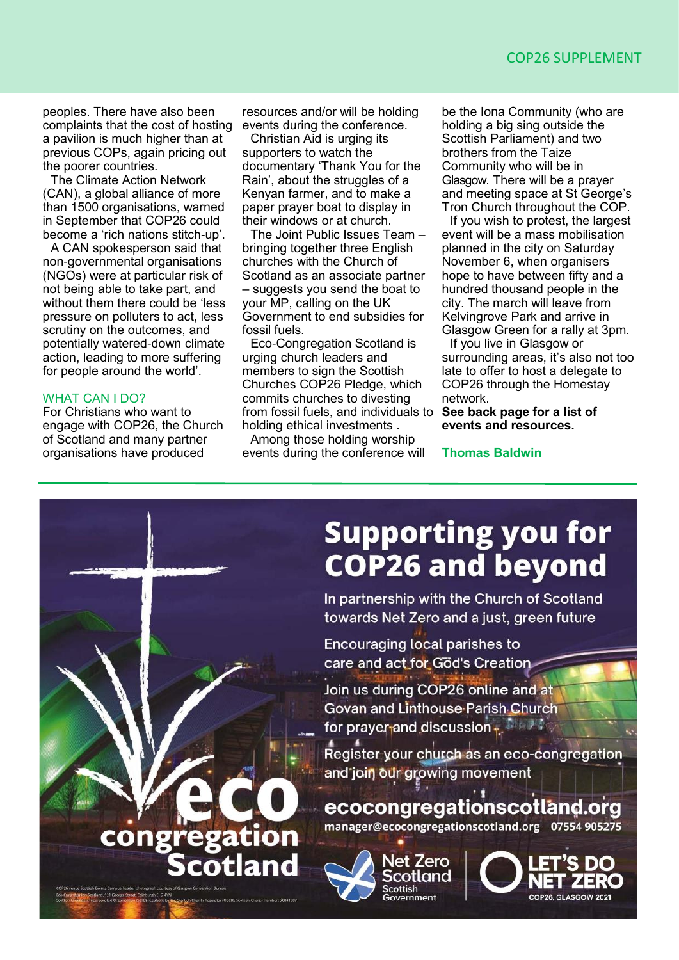peoples. There have also been complaints that the cost of hosting a pavilion is much higher than at previous COPs, again pricing out the poorer countries.

The Climate Action Network (CAN), a global alliance of more than 1500 organisations, warned in September that COP26 could become a 'rich nations stitch-up'.

A CAN spokesperson said that non-governmental organisations (NGOs) were at particular risk of not being able to take part, and without them there could be 'less pressure on polluters to act, less scrutiny on the outcomes, and potentially watered-down climate action, leading to more suffering for people around the world'.

#### WHAT CAN I DO?

For Christians who want to engage with COP26, the Church of Scotland and many partner organisations have produced

resources and/or will be holding events during the conference.

Christian Aid is urging its supporters to watch the documentary 'Thank You for the Rain', about the struggles of a Kenyan farmer, and to make a paper prayer boat to display in their windows or at church.

The Joint Public Issues Team – bringing together three English churches with the Church of Scotland as an associate partner – suggests you send the boat to your MP, calling on the UK Government to end subsidies for fossil fuels.

Eco-Congregation Scotland is urging church leaders and members to sign the Scottish Churches COP26 Pledge, which commits churches to divesting from fossil fuels, and individuals to holding ethical investments .

Among those holding worship events during the conference will be the Iona Community (who are holding a big sing outside the Scottish Parliament) and two brothers from the Taize Community who will be in Glasgow. There will be a prayer and meeting space at St George's Tron Church throughout the COP.

If you wish to protest, the largest event will be a mass mobilisation planned in the city on Saturday November 6, when organisers hope to have between fifty and a hundred thousand people in the city. The march will leave from Kelvingrove Park and arrive in Glasgow Green for a rally at 3pm.

If you live in Glasgow or surrounding areas, it's also not too late to offer to host a delegate to COP26 through the Homestay network.

**See back page for a list of events and resources.** 

**Thomas Baldwin** 

### **Supporting you for COP26 and beyond** In partnership with the Church of Scotland towards Net Zero and a just, green future

**Encouraging local parishes to** care and act for God's Creation

Join us during COP26 online and at Govan and Linthouse Parish Church for prayer and discussion  $\mathbf{t}$ .

Register your church as an eco-congregation and join our growing movement

ecocongregationscotland.org manager@ecocongregationscotland.org 07554 905275



COP26 GLASGOW 2021